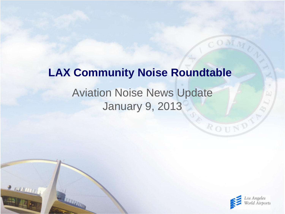# Aviation Noise News Update January 9, 2013 **LAX Community Noise Roundtable**

 $2$  running



ROUND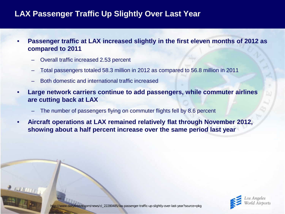## **LAX Passenger Traffic Up Slightly Over Last Year**

- **Passenger traffic at LAX increased slightly in the first eleven months of 2012 as compared to 2011**
	- Overall traffic increased 2.53 percent
	- Total passengers totaled 58.3 million in 2012 as compared to 56.8 million in 2011
	- Both domestic and international traffic increased
- **Large network carriers continue to add passengers, while commuter airlines are cutting back at LAX**
	- The number of passengers flying on commuter flights fell by 8.6 percent
- **Aircraft operations at LAX remained relatively flat through November 2012, showing about a half percent increase over the same period last year**

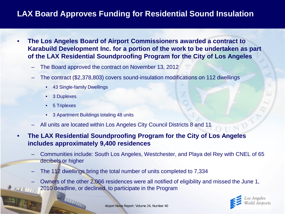## **LAX Board Approves Funding for Residential Sound Insulation**

- **The Los Angeles Board of Airport Commissioners awarded a contract to Karabuild Development Inc. for a portion of the work to be undertaken as part of the LAX Residential Soundproofing Program for the City of Los Angeles**
	- The Board approved the contract on November 13, 2012
	- The contract (\$2,378,803) covers sound-insulation modifications on 112 dwellings
		- 43 Single-family Dwellings
		- 3 Duplexes
		- 5 Triplexes
		- 3 Apartment Buildings totaling 48 units
	- All units are located within Los Angeles City Council Districts 8 and 11
- **The LAX Residential Soundproofing Program for the City of Los Angeles includes approximately 9,400 residences**
	- Communities include: South Los Angeles, Westchester, and Playa del Rey with CNEL of 65 decibels or higher
	- The 112 dwellings bring the total number of units completed to 7,334
	- Owners of the other 2,066 residences were all notified of eligibility and missed the June 1, 2010 deadline, or declined to participate in the Program

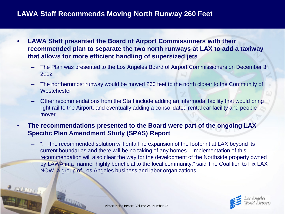#### **LAWA Staff Recommends Moving North Runway 260 Feet**

- **LAWA Staff presented the Board of Airport Commissioners with their recommended plan to separate the two north runways at LAX to add a taxiway that allows for more efficient handling of supersized jets**
	- The Plan was presented to the Los Angeles Board of Airport Commissioners on December 3, 2012
	- The northernmost runway would be moved 260 feet to the north closer to the Community of **Westchester**
	- Other recommendations from the Staff include adding an intermodal facility that would bring light rail to the Airport, and eventually adding a consolidated rental car facility and people mover
- **The recommendations presented to the Board were part of the ongoing LAX Specific Plan Amendment Study (SPAS) Report**
	- ". . .the recommended solution will entail no expansion of the footprint at LAX beyond its current boundaries and there will be no taking of any homes…Implementation of this recommendation will also clear the way for the development of the Northside property owned by LAWA in a manner highly beneficial to the local community," said The Coalition to Fix LAX NOW, a group of Los Angeles business and labor organizations

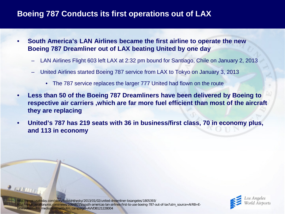#### **Boeing 787 Conducts its first operations out of LAX**

- **South America's LAN Airlines became the first airline to operate the new Boeing 787 Dreamliner out of LAX beating United by one day**
	- LAN Airlines Flight 603 left LAX at 2:32 pm bound for Santiago, Chile on January 2, 2013
	- United Airlines started Boeing 787 service from LAX to Tokyo on January 3, 2013
		- The 787 service replaces the larger 777 United had flown on the route
- **Less than 50 of the Boeing 787 Dreamliners have been delivered by Boeing to respective air carriers ,which are far more fuel efficient than most of the aircraft they are replacing**
- **United's 787 has 219 seats with 36 in business/first class, 70 in economy plus, and 113 in economy**

http://www.usatoday.com/story/todayinthesky/2013/01/02/united-dreamliner-losangeles/1805393/ http://www.aviationpros.com/news/10848015/south-americas-lan-airlines-first-to-use-boeing-787-out-of-lax?utm\_source=AIRB+E-Newsletter&utm\_medium=email&utm\_campaign=AVVDB121228004

 $2$  FUN MITTY

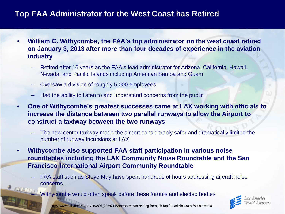## **Top FAA Administrator for the West Coast has Retired**

- **William C. Withycombe, the FAA's top administrator on the west coast retired on January 3, 2013 after more than four decades of experience in the aviation industry**
	- Retired after 16 years as the FAA's lead administrator for Arizona, California, Hawaii, Nevada, and Pacific Islands including American Samoa and Guam
	- Oversaw a division of roughly 5,000 employees
	- Had the ability to listen to and understand concerns from the public
- **One of Withycombe's greatest successes came at LAX working with officials to increase the distance between two parallel runways to allow the Airport to construct a taxiway between the two runways**
	- The new center taxiway made the airport considerably safer and dramatically limited the number of runway incursions at LAX
- **Withycombe also supported FAA staff participation in various noise roundtables including the LAX Community Noise Roundtable and the San Francisco International Airport Community Roundtable**
	- FAA staff such as Steve May have spent hundreds of hours addressing aircraft noise concerns

Withycombe would often speak before these forums and elected bodies



http://www.dailybreeze.com/news/ci\_22292115/torrance-man-retiring-from-job-top-faa-administrator?source=email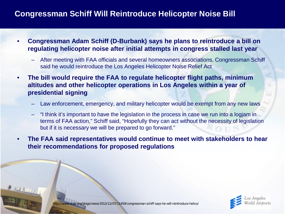#### **Congressman Schiff Will Reintroduce Helicopter Noise Bill**

- **Congressman Adam Schiff (D-Burbank) says he plans to reintroduce a bill on regulating helicopter noise after initial attempts in congress stalled last year**
	- After meeting with FAA officials and several homeowners associations, Congressman Schiff said he would reintroduce the Los Angeles Helicopter Noise Relief Act
- **The bill would require the FAA to regulate helicopter flight paths, minimum altitudes and other helicopter operations in Los Angeles within a year of presidential signing**
	- Law enforcement, emergency, and military helicopter would be exempt from any new laws
	- "I think it's important to have the legislation in the process in case we run into a logjam in terms of FAA action," Schiff said, "Hopefully they can act without the necessity of legislation but if it is necessary we will be prepared to go forward."
- **The FAA said representatives would continue to meet with stakeholders to hear their recommendations for proposed regulations**



r.org/blogs/news/2012/12/07/11459/congressman-schiff-says-he-will-reintroduce-helico/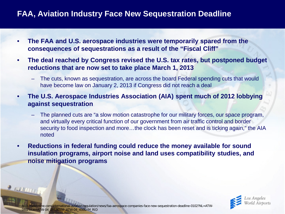## **FAA, Aviation Industry Face New Sequestration Deadline**

- **The FAA and U.S. aerospace industries were temporarily spared from the consequences of sequestrations as a result of the "Fiscal Cliff"**
- **The deal reached by Congress revised the U.S. tax rates, but postponed budget reductions that are now set to take place March 1, 2013**
	- The cuts, known as sequestration, are across the board Federal spending cuts that would have become law on January 2, 2013 if Congress did not reach a deal
- **The U.S. Aerospace Industries Association (AIA) spent much of 2012 lobbying against sequestration**
	- The planned cuts are "a slow motion catastrophe for our military forces, our space program, and virtually every critical function of our government from air traffic control and border security to food inspection and more...the clock has been reset and is ticking again," the AIA noted
- **Reductions in federal funding could reduce the money available for sound insulation programs, airport noise and land uses compatibility studies, and noise mitigation programs**



'atwonline.com/international-aviation-regulation/news/faa-aerospace-companies-face-new-sequestration-deadline-0102?NL=ATW-04&Issue=ATW-04\_20130102\_ATW-04\_456&YM\_RID

**PERMITTI**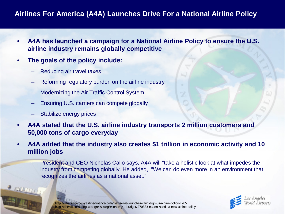#### **Airlines For America (A4A) Launches Drive For a National Airline Policy**

- **A4A has launched a campaign for a National Airline Policy to ensure the U.S. airline industry remains globally competitive**
- **The goals of the policy include:**
	- Reducing air travel taxes
	- Reforming regulatory burden on the airline industry
	- Modernizing the Air Traffic Control System
	- Ensuring U.S. carriers can compete globally
	- Stabilize energy prices
- **A4A stated that the U.S. airline industry transports 2 million customers and 50,000 tons of cargo everyday**
- **A4A added that the industry also creates \$1 trillion in economic activity and 10 million jobs**
	- President and CEO Nicholas Calio says, A4A will "take a holistic look at what impedes the industry from competing globally. He added, "We can do even more in an environment that recognizes the airlines as a national asset."



http://atwonline.com/airline-finance-data/news/a4a-launches-campaign-us-airline-policy-1205 http://thehill.com/blogs/congress-blog/economy-a-budget/270883-nation-needs-a-new-airline-policy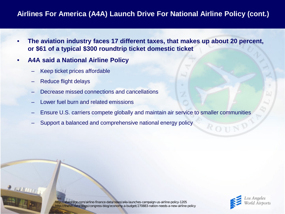#### **Airlines For America (A4A) Launch Drive For National Airline Policy (cont.)**

- **The aviation industry faces 17 different taxes, that makes up about 20 percent, or \$61 of a typical \$300 roundtrip ticket domestic ticket**
- **A4A said a National Airline Policy**
	- Keep ticket prices affordable
	- Reduce flight delays

 $200001$ 

- Decrease missed connections and cancellations
- Lower fuel burn and related emissions
- Ensure U.S. carriers compete globally and maintain air service to smaller communities
- Support a balanced and comprehensive national energy policy

http://atwonline.com/airline-finance-data/news/a4a-launches-campaign-us-airline-policy-1205 http://thehill.com/blogs/congress-blog/economy-a-budget/270883-nation-needs-a-new-airline-policy

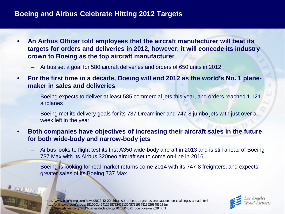#### **Boeing and Airbus Celebrate Hitting 2012 Targets**

- **An Airbus Officer told employees that the aircraft manufacturer will beat its targets for orders and deliveries in 2012, however, it will concede its industry crown to Boeing as the top aircraft manufacturer**
	- Airbus set a goal for 580 aircraft deliveries and orders of 650 units in 2012
- **For the first time in a decade, Boeing will end 2012 as the world's No. 1 planemaker in sales and deliveries** 
	- Boeing expects to deliver at least 585 commercial jets this year, and orders reached 1,121 airplanes
	- Boeing met its delivery goals for its 787 Dreamliner and 747-8 jumbo jets with just over a week left in the year
- **Both companies have objectives of increasing their aircraft sales in the future for both wide-body and narrow-body jets**
	- Airbus looks to flight test its first A350 wide-body aircraft in 2013 and is still ahead of Boeing 737 Max with its Airbus 320neo aircraft set to come on-line in 2016
	- Boeing is looking for real market returns come 2014 with its 747-8 freighters, and expects greater sales of its Boeing 737 Max



http://www.bloomberg.com/news/2012-12-20/airbus-set-to-beat-targets-as-ceo-cautions-on-challenges-ahead.html http://online.wsj.com/article/SB10001424127887324731304578193781392684830.html http://seattletimes.com/html/businesstechnology/2020004071\_boeingyearend28.html

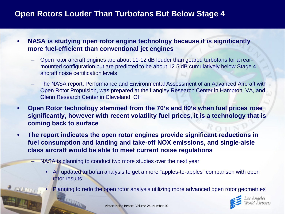## **Open Rotors Louder Than Turbofans But Below Stage 4**

- **NASA is studying open rotor engine technology because it is significantly more fuel-efficient than conventional jet engines**
	- Open rotor aircraft engines are about 11-12 dB louder than geared turbofans for a rearmounted configuration but are predicted to be about 12.5 dB cumulatively below Stage 4 aircraft noise certification levels
	- The NASA report, Performance and Environmental Assessment of an Advanced Aircraft with Open Rotor Propulsion, was prepared at the Langley Research Center in Hampton, VA, and Glenn Research Center in Cleveland, OH
- **Open Rotor technology stemmed from the 70's and 80's when fuel prices rose significantly, however with recent volatility fuel prices, it is a technology that is coming back to surface**
- **The report indicates the open rotor engines provide significant reductions in fuel consumption and landing and take-off NOX emissions, and single-aisle class aircraft would be able to meet current noise regulations**
	- NASA is planning to conduct two more studies over the next year
		- An updated turbofan analysis to get a more "apples-to-apples" comparison with open rotor results
		- Planning to redo the open rotor analysis utilizing more advanced open rotor geometries

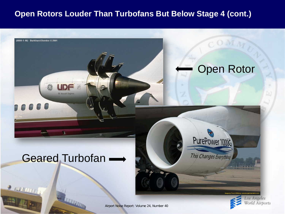## **Open Rotors Louder Than Turbofans But Below Stage 4 (cont.)**